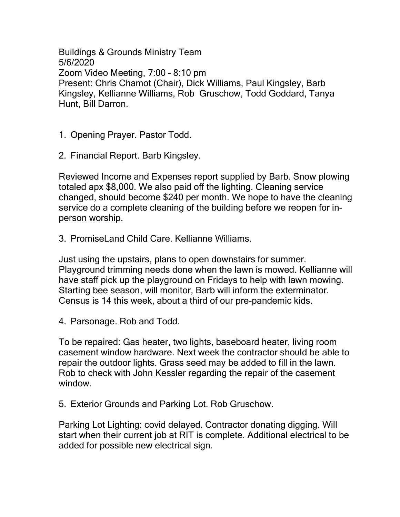Buildings & Grounds Ministry Team 5/6/2020 Zoom Video Meeting, 7:00 – 8:10 pm Present: Chris Chamot (Chair), Dick Williams, Paul Kingsley, Barb Kingsley, Kellianne Williams, Rob Gruschow, Todd Goddard, Tanya Hunt, Bill Darron.

1. Opening Prayer. Pastor Todd.

2. Financial Report. Barb Kingsley.

Reviewed Income and Expenses report supplied by Barb. Snow plowing totaled apx \$8,000. We also paid off the lighting. Cleaning service changed, should become \$240 per month. We hope to have the cleaning service do a complete cleaning of the building before we reopen for inperson worship.

3. PromiseLand Child Care. Kellianne Williams.

Just using the upstairs, plans to open downstairs for summer. Playground trimming needs done when the lawn is mowed. Kellianne will have staff pick up the playground on Fridays to help with lawn mowing. Starting bee season, will monitor, Barb will inform the exterminator. Census is 14 this week, about a third of our pre-pandemic kids.

4. Parsonage. Rob and Todd.

To be repaired: Gas heater, two lights, baseboard heater, living room casement window hardware. Next week the contractor should be able to repair the outdoor lights. Grass seed may be added to fill in the lawn. Rob to check with John Kessler regarding the repair of the casement window.

5. Exterior Grounds and Parking Lot. Rob Gruschow.

Parking Lot Lighting: covid delayed. Contractor donating digging. Will start when their current job at RIT is complete. Additional electrical to be added for possible new electrical sign.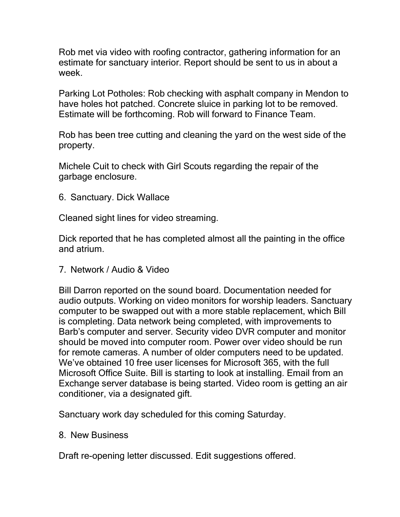Rob met via video with roofing contractor, gathering information for an estimate for sanctuary interior. Report should be sent to us in about a week.

Parking Lot Potholes: Rob checking with asphalt company in Mendon to have holes hot patched. Concrete sluice in parking lot to be removed. Estimate will be forthcoming. Rob will forward to Finance Team.

Rob has been tree cutting and cleaning the yard on the west side of the property.

Michele Cuit to check with Girl Scouts regarding the repair of the garbage enclosure.

6. Sanctuary. Dick Wallace

Cleaned sight lines for video streaming.

Dick reported that he has completed almost all the painting in the office and atrium.

7. Network / Audio & Video

Bill Darron reported on the sound board. Documentation needed for audio outputs. Working on video monitors for worship leaders. Sanctuary computer to be swapped out with a more stable replacement, which Bill is completing. Data network being completed, with improvements to Barb's computer and server. Security video DVR computer and monitor should be moved into computer room. Power over video should be run for remote cameras. A number of older computers need to be updated. We've obtained 10 free user licenses for Microsoft 365, with the full Microsoft Office Suite. Bill is starting to look at installing. Email from an Exchange server database is being started. Video room is getting an air conditioner, via a designated gift.

Sanctuary work day scheduled for this coming Saturday.

## 8. New Business

Draft re-opening letter discussed. Edit suggestions offered.